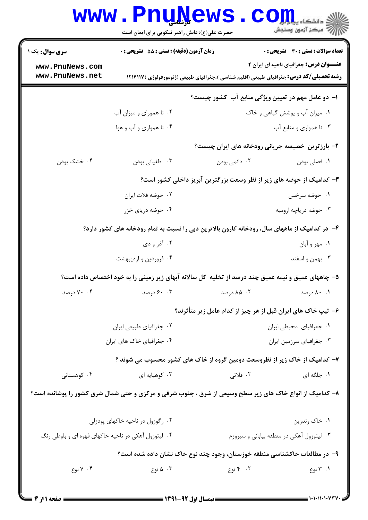|                                                                           | www.PnuNews.<br>حضرت علی(ع): دانش راهبر نیکویی برای ایمان است                                           |                                                                                                 | انشکاه پیام در استفاده بالا<br>انتشکاه پیام در آزمون وسنجش |  |
|---------------------------------------------------------------------------|---------------------------------------------------------------------------------------------------------|-------------------------------------------------------------------------------------------------|------------------------------------------------------------|--|
| <b>سری سوال :</b> یک ۱                                                    | <b>زمان آزمون (دقیقه) : تستی : 55 تشریحی : 0</b>                                                        |                                                                                                 | <b>تعداد سوالات : تستي : 30 ٪ تشريحي : 0</b>               |  |
| www.PnuNews.com<br>www.PnuNews.net                                        |                                                                                                         | <b>رشته تحصیلی/کد درس:</b> جغرافیای طبیعی (اقلیم شناسی )،جغرافیای طبیعی (ژئومورفولوژی ) ۱۲۱۶۱۱۷ | <b>عنـــوان درس:</b> جغرافیای ناحیه ای ایران ۲             |  |
|                                                                           |                                                                                                         | ا- دو عامل مهم در تعیین ویژگی منابع آب کشور چیست؟                                               |                                                            |  |
|                                                                           | ۰۲ نا همورای و میزان آب                                                                                 |                                                                                                 | ۰۱ میزان آب و پوشش گیاهی و خاک                             |  |
|                                                                           | ۰۴ نا همواری و آب و هوا                                                                                 |                                                                                                 | ۰۳ نا همواری و منابع آب                                    |  |
|                                                                           |                                                                                                         | ۲- بارزترین خصیصه جریانی رودخانه های ایران چیست؟                                                |                                                            |  |
| ۰۴ خشک بودن                                                               | ۰۳ طغیانی بودن                                                                                          | ۰۲ دائمي بودن                                                                                   | ٠١ فصلي بودن                                               |  |
|                                                                           |                                                                                                         | ۳- کدامیک از حوضه های زیر از نظر وسعت بزرگترین آبریز داخلی کشور است؟                            |                                                            |  |
|                                                                           | ۰۲ حوضه فلات ایران                                                                                      |                                                                                                 | ۰۱ حوضه سرخس                                               |  |
|                                                                           | ۰۴ حوضه دریای خزر                                                                                       |                                                                                                 | ۰۳ حوضه دریاچه ارومیه                                      |  |
|                                                                           | ۴- در کدامیک از ماههای سال، رودخانه کارون بالاترین دبی را نسبت به تمام رودخانه های کشور دارد؟           |                                                                                                 |                                                            |  |
|                                                                           | ۰۲ آذر و دی                                                                                             |                                                                                                 | ۱. مهر و أبان                                              |  |
|                                                                           | ۰۴ فروردین و اردیبهشت                                                                                   |                                                                                                 | ۰۳ بهمن و اسفند                                            |  |
|                                                                           | ۵– چاههای عمیق و نیمه عمیق چند درصد از تخلیه کل سالانه آبهای زیر زمینی را به خود اختصاص داده است؟       |                                                                                                 |                                                            |  |
| ۰۴ درصد                                                                   | ۰.۳ ورصد                                                                                                | ۰۲ ه. ۸۵ درصد                                                                                   | ۰۱ ۸۰ درصد                                                 |  |
|                                                                           |                                                                                                         | ۶– تیپ خاک های ایران قبل از هر چیز از کدام عامل زیر متأثرند؟                                    |                                                            |  |
|                                                                           | ۰۲ جغرافیای طبیعی ایران                                                                                 |                                                                                                 | ٠١ جغرافياي محيطي ايران                                    |  |
|                                                                           | ۰۴ جغرافیای خاک های ایران                                                                               |                                                                                                 | ۰۳ جغرافیای سرزمین ایران                                   |  |
|                                                                           | ۷– کدامیک از خاک زیر از نظروسعت دومین گروه از خاک های کشور محسوب می شوند ؟                              |                                                                                                 |                                                            |  |
| ۰۴ کوهستانی                                                               | ۰۳ کوهیایه ای                                                                                           | ۲. فلاتی                                                                                        | ۱. جلگه ای                                                 |  |
|                                                                           | ۸– کدامیک از انواع خاک های زیر سطح وسیعی از شرق ، جنوب شرقی و مرکزی و حتی شمال شرق کشور را پوشانده است؟ |                                                                                                 |                                                            |  |
|                                                                           | ۰۲ رگوزول در ناحیه خاکهای پودزلی                                                                        |                                                                                                 | ۰۱ خاک رندزین                                              |  |
| ۰۴ لیتوزول آهکی در ناحیه خاکهای قهوه ای و بلوطی رنگ                       |                                                                                                         |                                                                                                 | ۰۳ لیتوزول آهکی در منطقه بیابانی و سیروزم                  |  |
| ۹– در مطالعات خاکشناسی منطقه خوزستان، وجود چند نوع خاک نشان داده شده است؟ |                                                                                                         |                                                                                                 |                                                            |  |
| ۰۴ نوع ۲                                                                  | ۰۳ ۵ نوع                                                                                                | ۰۲ ۴ نوع                                                                                        | ۰۱ توع                                                     |  |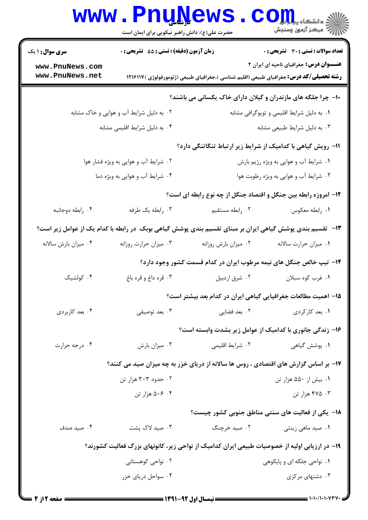|                                                                                               | www.PnuNews.<br>حضرت علی(ع): دانش راهبر نیکویی برای ایمان است                                             |                                                                                                 | الله دانشگاه پیام برد<br>الله عرکز آنههن وسنجش |  |
|-----------------------------------------------------------------------------------------------|-----------------------------------------------------------------------------------------------------------|-------------------------------------------------------------------------------------------------|------------------------------------------------|--|
| <b>سری سوال : ۱ یک</b>                                                                        | <b>زمان آزمون (دقیقه) : تستی : 55 تشریحی : 0</b>                                                          |                                                                                                 | <b>تعداد سوالات : تستی : 30 ٪ تشریحی : 0</b>   |  |
| www.PnuNews.com<br>www.PnuNews.net                                                            |                                                                                                           | <b>رشته تحصیلی/کد درس:</b> جغرافیای طبیعی (اقلیم شناسی )،جغرافیای طبیعی (ژئومورفولوژی ) ۱۲۱۶۱۱۷ | <b>عنـــوان درس:</b> جغرافیای ناحیه ای ایران ۲ |  |
|                                                                                               |                                                                                                           | ۱۰- چرا جلگه های مازندران و گیلان دارای خاک یکسانی می باشند؟                                    |                                                |  |
|                                                                                               | ۰۲ به دلیل شرایط آب و هوایی و خاک مشابه                                                                   |                                                                                                 | ۰۱ به دلیل شرایط اقلیمی و توپوگرافی مشابه      |  |
|                                                                                               | ۰۴ به دلیل شرایط اقلیمی مشابه                                                                             |                                                                                                 | ۰۳ به دلیل شرایط طبیعی مشابه                   |  |
|                                                                                               |                                                                                                           | <b>۱۱- رویش گیاهی با کدامیک از شرایط زیر ارتباط تنگاتنگی دارد</b> ؟                             |                                                |  |
| ۰۲ شرایط آب و هوایی به ویژه فشار هوا<br>۰۱ شرایط آب و هوایی به ویژه رژیم بارش                 |                                                                                                           |                                                                                                 |                                                |  |
| ۰۴ شرایط آب و هوایی به ویژه دما<br>۰۳ شرایط آب و هوایی به ویژه رطوبت هوا                      |                                                                                                           |                                                                                                 |                                                |  |
| <b>۱۲</b> - امروزه رابطه بین جنگل و اقتصاد جنگل از چه نوع رابطه ای است؟                       |                                                                                                           |                                                                                                 |                                                |  |
| ۰۴ رابطه دوجانبه                                                                              | ۰۳ رابطه یک طرفه                                                                                          | ۰۲ رابطه مستقيم                                                                                 | ٠١ رابطه معكوس                                 |  |
|                                                                                               | ۱۳– تقسیم بندی پوشش گیاهی ایران بر مبنای تقسیم بندی پوشش گیاهی بوبک در رابطه با کدام یک از عوامل زیر است؟ |                                                                                                 |                                                |  |
| ۰۴ میزان بارش سالانه                                                                          | ۰۳ میزان حرارت روزانه                                                                                     | ٠٢ ميزان بارش روزانه                                                                            | ٠١ ميزان حرارت سالانه                          |  |
|                                                                                               |                                                                                                           | ۱۴- تیپ خالص جنگل های نیمه مرطوب ایران در کدام قسمت کشور وجود دارد؟                             |                                                |  |
| ۰۴ کولشیک                                                                                     | ۰۳ قره داغ و قره باغ                                                                                      | ۰۲ شرق اردبیل                                                                                   | ۰۱ غرب کوه سبلان                               |  |
|                                                                                               |                                                                                                           | ۱۵– اهمیت مطالعات جغرافیایی گیاهی ایران در کدام بعد بیشتر است؟                                  |                                                |  |
| ۰۴ بعد کاربردي                                                                                | ۰۳ بعد توصيفي                                                                                             | ۰۲ بعد فضایی                                                                                    | ۰۱ بعد کارکردی                                 |  |
|                                                                                               |                                                                                                           | ۱۶- زندگی جانوری با کدامیک از عوامل زیر بشدت وابسته است؟                                        |                                                |  |
| ۰۴ درجه حرارت                                                                                 | ۰۳ میزان بارش                                                                                             | ۰۲ شرایط اقلیمی                                                                                 | ۰۱ پوشش گیاهی                                  |  |
|                                                                                               | ۱۷- بر اساس گزارش های اقتصادی ، روس ها سالانه از دریای خزر به چه میزان صید می کنند؟                       |                                                                                                 |                                                |  |
|                                                                                               | ۰۲ حدود ۳۰۳ هزار تن                                                                                       |                                                                                                 | ۰۱ بیش از ۵۵۰ هزار تن                          |  |
|                                                                                               | ۰۴ مزار تن                                                                                                |                                                                                                 | ۰۳ هزار تن                                     |  |
|                                                                                               |                                                                                                           | ۱۸− یکی از فعالیت های سنتی مناطق جنوبی کشور چیست؟                                               |                                                |  |
| ۰۴ صید صدف                                                                                    | ۰۳ صید لاک پشت                                                                                            | ۰۲ صید خرچنگ                                                                                    | ۰۱ صید ماهی زینتی                              |  |
| ۱۹- در ارزیابی اولیه از خصوصیات طبیعی ایران کدامیک از نواحی زیر، کانونهای بزرگ فعالیت کشورند؟ |                                                                                                           |                                                                                                 |                                                |  |
|                                                                                               | ۰۲ نواحی کوهستانی                                                                                         |                                                                                                 | ۰۱ نواحی جلگه ای و پایکوهی                     |  |
|                                                                                               | ۰۴ سواحل دریای خزر                                                                                        |                                                                                                 | ۰۳ دشتهای مرکزی                                |  |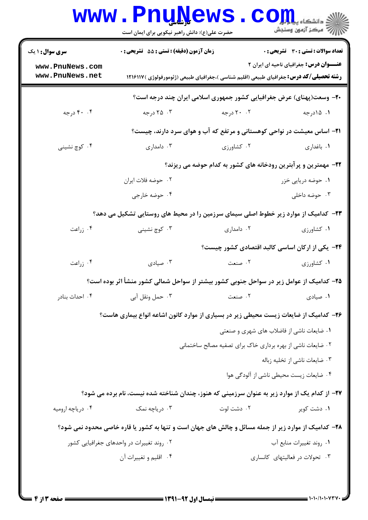|                                    | <b>www.PnuNews</b><br>حضرت علی(ع): دانش راهبر نیکویی برای ایمان است                                  |                                                                                                 | ي<br>ي دانشڪاه پي <mark>اپ</mark> ول<br>سكز آزمون وسنجش |  |
|------------------------------------|------------------------------------------------------------------------------------------------------|-------------------------------------------------------------------------------------------------|---------------------------------------------------------|--|
| سری سوال: ۱ یک                     | زمان آزمون (دقیقه) : تستی : 55 گشریحی : 0                                                            |                                                                                                 | <b>تعداد سوالات : تستی : 30 ٪ تشریحی : 0</b>            |  |
| www.PnuNews.com<br>www.PnuNews.net |                                                                                                      | <b>رشته تحصیلی/کد درس:</b> جغرافیای طبیعی (اقلیم شناسی )،جغرافیای طبیعی (ژئومورفولوژی ) ۱۲۱۶۱۱۷ | <b>عنـــوان درس:</b> جغرافیای ناحیه ای ایران ۲          |  |
|                                    |                                                                                                      | +۲- وسعت(پهنای) عرض جغرافیایی کشور جمهوری اسلامی ایران چند درجه است؟                            |                                                         |  |
| ۴. ۴۰ درجه                         | ۰۳ درجه                                                                                              | ۲۰ ۲۰ درجه                                                                                      | ۰۱ ۱۵درجه                                               |  |
|                                    |                                                                                                      | <b>۲۱</b> - اساس معیشت در نواحی کوهستانی و مرتفع که آب و هوای سرد دارند، چیست؟                  |                                                         |  |
| ۰۴ کوچ نشینی                       | ۰۳ دامداری                                                                                           | ۰۲ کشاورزی                                                                                      | ٠١. باغداري                                             |  |
|                                    | ۲۲- مهمترین و پرآبترین رودخانه های کشور به کدام حوضه می ریزند؟                                       |                                                                                                 |                                                         |  |
|                                    | ۰۲ حوضه فلات ايران                                                                                   |                                                                                                 | ۰۱ حوضه دریایی خزر                                      |  |
|                                    | ۰۴ حوضه خارجي                                                                                        |                                                                                                 | ۰۳ حوضه داخلی                                           |  |
|                                    | ۲۳– کدامیک از موارد زیر خطوط اصلی سیمای سرزمین را در محیط های روستایی تشکیل می دهد؟                  |                                                                                                 |                                                         |  |
| ۰۴ زراعت                           | ۰۳ کوچ نشینی                                                                                         | ۰۲ دامداری                                                                                      | ۰۱ کشاورزی                                              |  |
|                                    |                                                                                                      | <b>۲۴</b> - یکی از ارکان اساسی کالبد اقتصادی کشور چیست؟                                         |                                                         |  |
| ۰۴ زراعت                           | ۰۳ صیادی                                                                                             | ٢. صنعت                                                                                         | ۰۱ کشاورزی                                              |  |
|                                    | ۲۵– کدامیک از عوامل زیر در سواحل جنوبی کشور بیشتر از سواحل شمالی کشور منشأ اثر بوده است؟             |                                                                                                 |                                                         |  |
| ۰۴ احداث بنادر                     | ۰۳ حمل ونقل آبي                                                                                      | ٢. صنعت                                                                                         | ۰۱ صیادی                                                |  |
|                                    | ۲۶– کدامیک از ضایعات زیست محیطی زیر در بسیاری از موارد کانون اشاعه انواع بیماری هاست؟                |                                                                                                 |                                                         |  |
|                                    |                                                                                                      | ۰۱ ضایعات ناشی از فاضلاب های شهری و صنعتی                                                       |                                                         |  |
|                                    |                                                                                                      | ۰۲ ضایعات ناشی از بهره برداری خاک برای تصفیه مصالح ساختمانی                                     |                                                         |  |
|                                    |                                                                                                      |                                                                                                 | ۰۳ ضایعات ناشی از تخلیه زباله                           |  |
|                                    |                                                                                                      |                                                                                                 | ۰۴ ضایعات زیست محیطی ناشی از آلودگی هوا                 |  |
|                                    | ۲۷– از کدام یک از موارد زیر به عنوان سرزمینی که هنوز، چندان شناخته شده نیست، نام برده می شود؟        |                                                                                                 |                                                         |  |
| ۰۴ دریاچه ارومیه                   | ۰۳ دریاچه نمک                                                                                        | ۰۲ دشت لوت                                                                                      | ۰۱ دشت کویر                                             |  |
|                                    | ۲۸- کدامیک از موارد زیر از جمله مسائل و چالش های جهان است و تنها به کشور یا قاره خاصی محدود نمی شود؟ |                                                                                                 |                                                         |  |
|                                    | ۰۲ روند تغییرات در واحدهای جغرافیایی کشور<br>۰۱ روند تغییرات منابع آب                                |                                                                                                 |                                                         |  |
|                                    | ۰۴ اقلیم و تغییرات آن                                                                                |                                                                                                 | ۰۳ تحولات در فعالیتهای کانساری                          |  |
|                                    |                                                                                                      |                                                                                                 |                                                         |  |